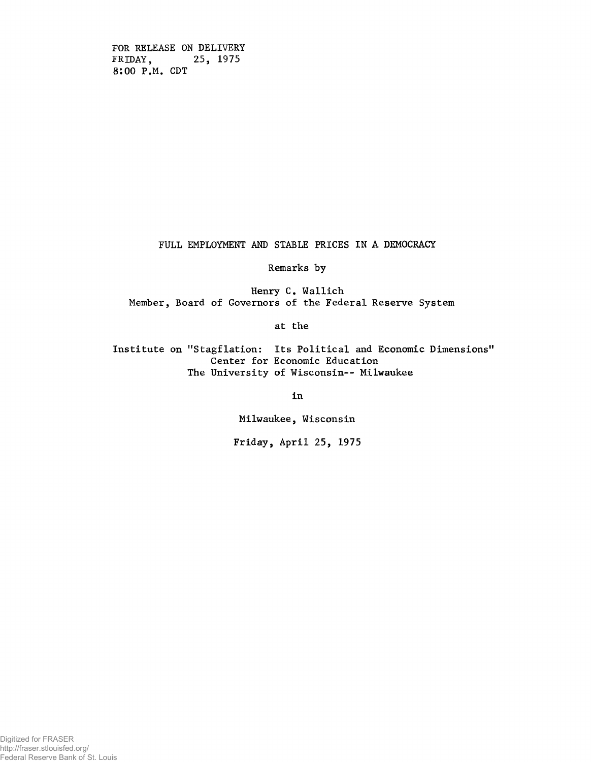FOR RELEASE ON DELIVERY FRIDAY, 25, 1975 8:00 P.M. CDT

FULL EMPLOYMENT AND STABLE PRICES IN A DEMOCRACY

Remarks by

Henry C. Wallich Member, Board of Governors of the Federal Reserve System

at the

Institute on "Stagflation: Its Political and Economic Dimensions" Center for Economic Education The University of Wisconsin-- Milwaukee

in

Milwaukee, Wisconsin

Friday, April 25, 1975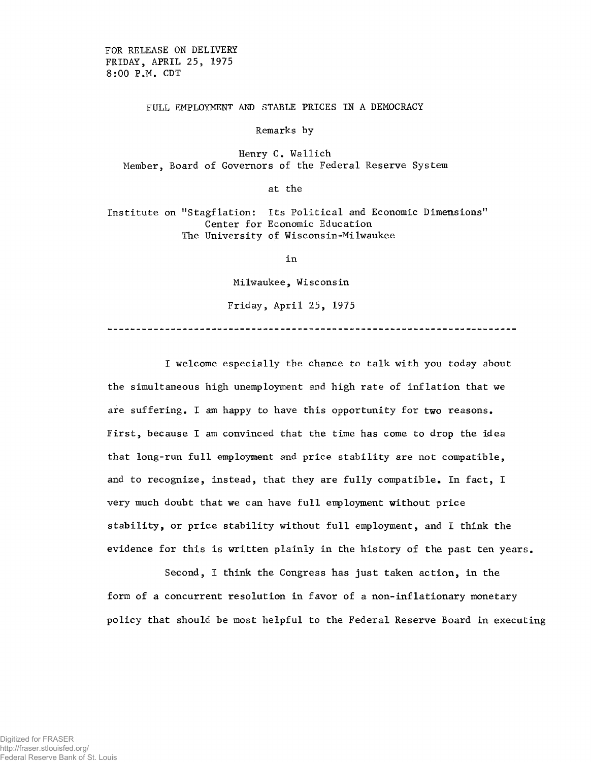FOR RELEASE ON DELIVERY FRIDAY, APRIL 25, 1975 8:00 P.M. CDT

## FULL EMPLOYMENT AND STABLE PRICES IN A DEMOCRACY

Remarks by

Henry C. Wallich Member, Board of Governors of the Federal Reserve System

at the

Institute on "Stagflation: Its Political and Economic Dimensions" Center for Economic Education The University of Wisconsin-Milwaukee

in

Milwaukee, Wisconsin

Friday, April 25, 1975

I welcome especially the chance to talk with you today about the simultaneous high unemployment and high rate of inflation that we are suffering. I am happy to have this opportunity for two reasons. First, because I am convinced that the time has come to drop the idea that long-run full employment and price stability are not compatible, and to recognize, instead, that they are fully compatible. In fact, I very much doubt that we can have full employment without price stability, or price stability without full employment, and I think the evidence for this is written plainly in the history of the past ten years.

Second, I think the Congress has just taken action, in the form of a concurrent resolution in favor of a non-inflationary monetary policy that should be most helpful to the Federal Reserve Board in executing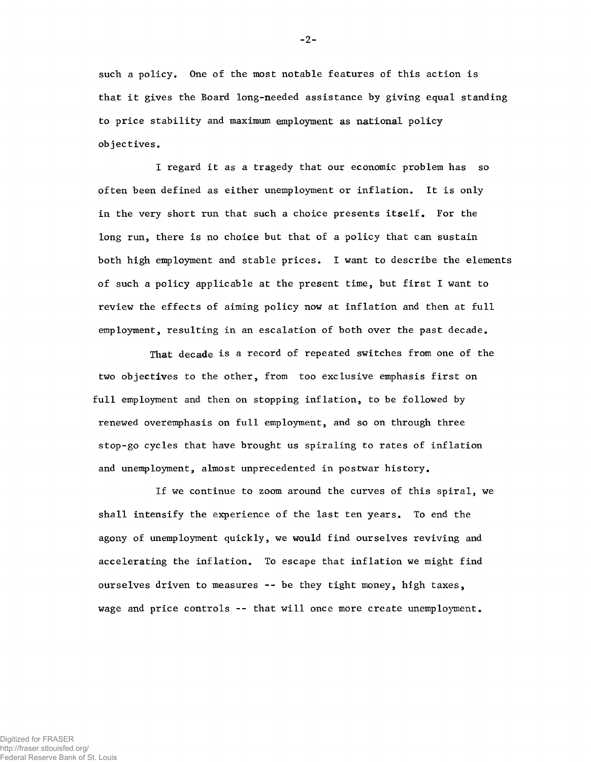such a policy. One of the most notable features of this action is that it gives the Board long-needed assistance by giving equal standing to price stability and maximum employment as national policy objectives.

I regard it as a tragedy that our economic problem has so often been defined as either unemployment or inflation. It is only in the very short run that such a choice presents itself. For the long run, there is no choice but that of a policy that can sustain both high employment and stable prices. I want to describe the elements of such a policy applicable at the present time, but first I want to review the effects of aiming policy now at inflation and then at full employment, resulting in an escalation of both over the past decade.

That decade is a record of repeated switches from one of the two objectives to the other, from too exclusive emphasis first on full employment and then on stopping inflation, to be followed by renewed overemphasis on full employment, and so on through three stop-go cycles that have brought us spiraling to rates of inflation and unemployment, almost unprecedented in postwar history.

If we continue to zoom around the curves of this spiral, we shall intensify the experience of the last ten years. To end the agony of unemployment quickly, we would find ourselves reviving and accelerating the inflation. To escape that inflation we might find ourselves driven to measures -- be they tight money, high taxes, wage and price controls -- that will once more create unemployment.

 $-2-$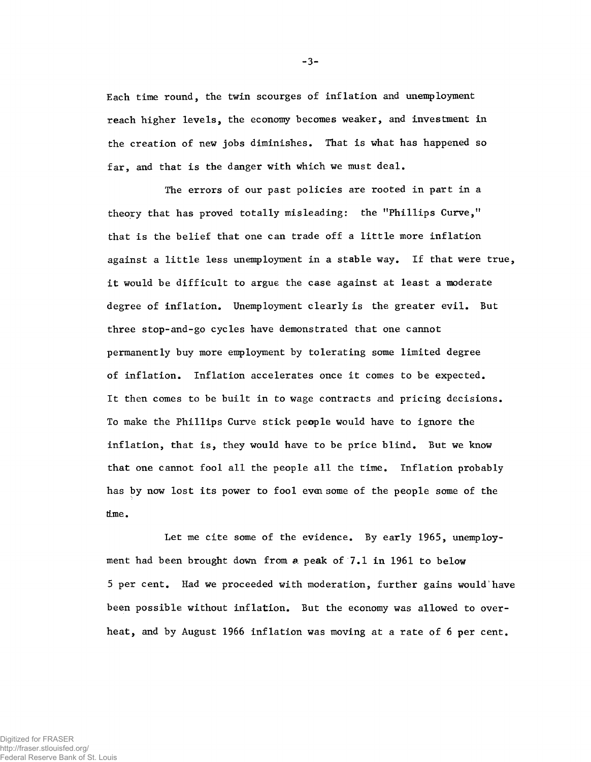Each time round, the twin scourges of inflation and unemployment reach higher levels, the economy becomes weaker, and investment in the creation of new jobs diminishes. That is what has happened so far, and that is the danger with which we must deal.

The errors of our past policies are rooted in part in a theory that has proved totally misleading: the "Phillips Curve," that is the belief that one can trade off a little more inflation against a little less unemployment in a stable way. If that were true, it would be difficult to argue the case against at least a moderate degree of inflation. Unemployment clearly is the greater evil. But three stop-and-go cycles have demonstrated that one cannot permanently buy more employment by tolerating some limited degree of inflation. Inflation accelerates once it comes to be expected. It then comes to be built in to wage contracts and pricing decisions. To make the Phillips Curve stick people would have to ignore the inflation, that is, they would have to be price blind. But we know that one cannot fool all the people all the time. Inflation probably has by now lost its power to fool even some of the people some of the time.

Let me cite some of the evidence. By early 1965, unemployment had been brought down from a peak of 7.1 in 1961 to below 5 per cent. Had we proceeded with moderation, further gains would have been possible without inflation. But the economy was allowed to overheat, and by August 1966 inflation was moving at a rate of 6 per cent.

 $-3-$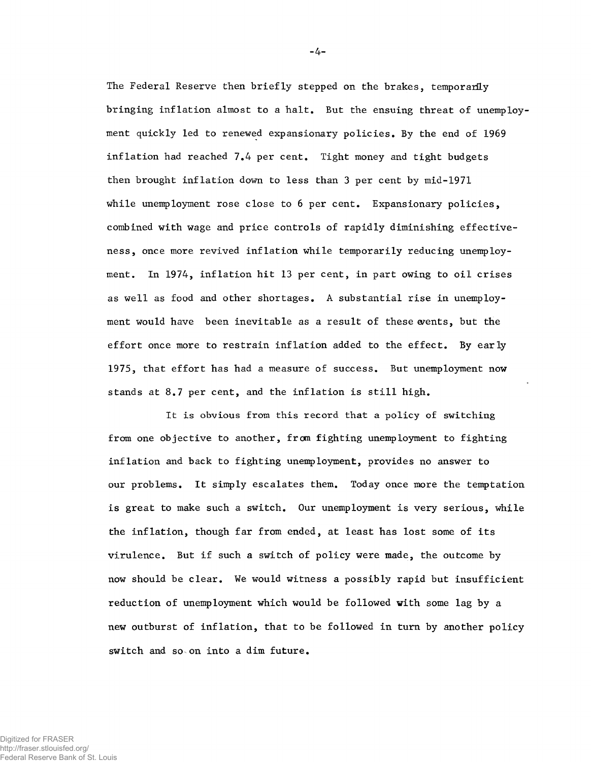The Federal Reserve then briefly stepped on the brakes, temporarily bringing inflation almost to a halt. But the ensuing threat of unemployment quickly led to renewed expansionary policies. By the end of 1969 inflation had reached 7,4 per cent. Tight money and tight budgets then brought inflation down to less than 3 per cent by mid-1971 while unemployment rose close to 6 per cent. Expansionary policies, combined with wage and price controls of rapidly diminishing effectiveness, once more revived inflation while temporarily reducing unemployment. In 1974, inflation hit 13 per cent, in part owing to oil crises as well as food and other shortages, A substantial rise in unemployment would have been inevitable as a result of these wents, but the effort once more to restrain inflation added to the effect. By early 1975, that effort has had a measure of success. But unemployment now stands at 8.7 per cent, and the inflation is still high.

It is obvious from this record that a policy of switching from one objective to another, from fighting unemployment to fighting inflation and back to fighting unemployment, provides no answer to our problems. It simply escalates them. Today once more the temptation is great to make such a switch. Our unemployment is very serious, while the inflation, though far from ended, at least has lost some of its virulence. But if such a switch of policy were made, the outcome by now should be clear. We would witness a possibly rapid but insufficient reduction of unemployment which would be followed with some lag by a new outburst of inflation, that to be followed in turn by another policy switch and so on into a dim future.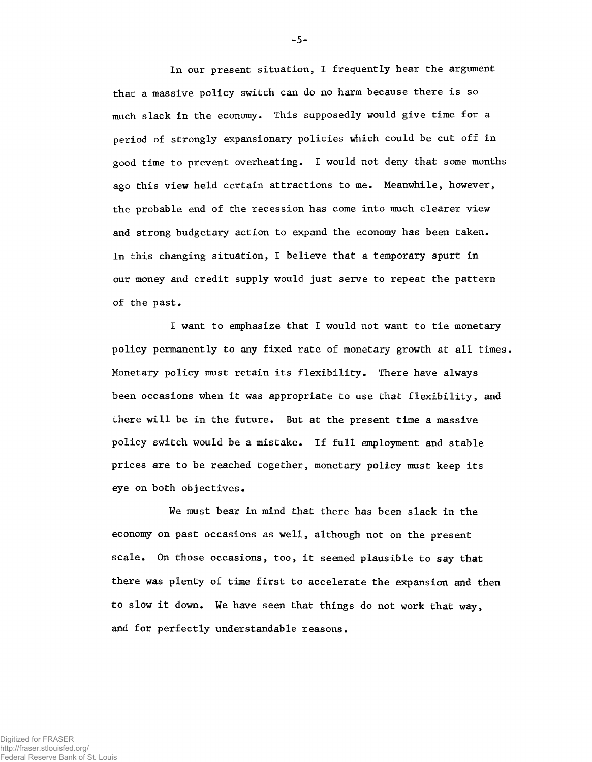In our present situation, I frequently hear the argument that a massive policy switch can do no harm because there is so much slack in the economy. This supposedly would give time for a period of strongly expansionary policies which could be cut off in good time to prevent overheating. I would not deny that some months ago this view held certain attractions to me. Meanwhile, however, the probable end of the recession has come into much clearer view and strong budgetary action to expand the economy has been taken. In this changing situation, I believe that a temporary spurt in our money and credit supply would just serve to repeat the pattern of the past.

I want to emphasize that I would not want to tie monetary policy permanently to any fixed rate of monetary growth at all times. Monetary policy must retain its flexibility. There have always been occasions when it was appropriate to use that flexibility, and there will be in the future. But at the present time a massive policy switch would be a mistake. If full employment and stable prices are to be reached together, monetary policy must keep its eye on both objectives.

We must bear in mind that there has been slack in the economy on past occasions as well, although not on the present scale. On those occasions, too, it seemed plausible to say that there was plenty of time first to accelerate the expansion and then to slow it down. We have seen that things do not work that way, and for perfectly understandable reasons.

 $-5-$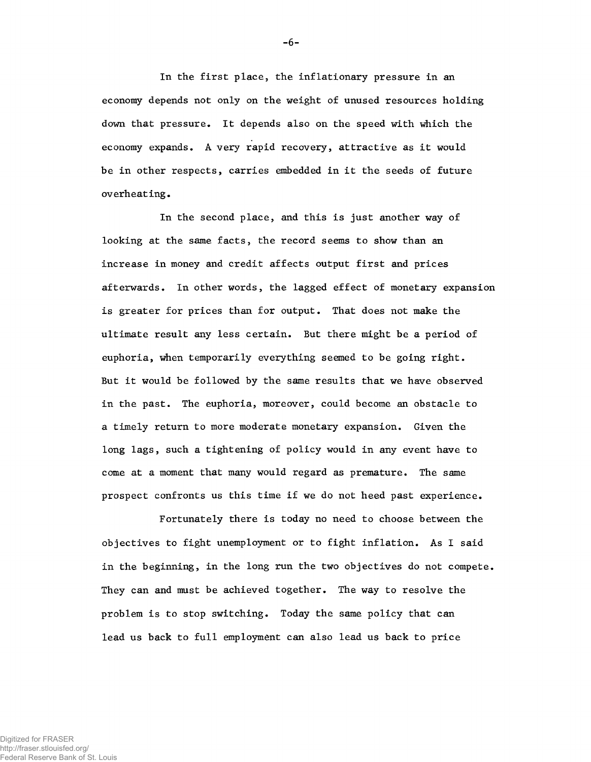In the first place, the inflationary pressure in an economy depends not only on the weight of unused resources holding down that pressure. It depends also on the speed with which the economy expands. A very rapid recovery, attractive as it would be in other respects, carries embedded in it the seeds of future overheating.

In the second place, and this is just another way of looking at the same facts, the record seems to show than an increase in money and credit affects output first and prices afterwards. In other words, the lagged effect of monetary expansion is greater for prices than for output. That does not make the ultimate result any less certain. But there might be a period of euphoria, when temporarily everything seemed to be going right. But it would be followed by the same results that we have observed in the past. The euphoria, moreover, could become an obstacle to a timely return to more moderate monetary expansion. Given the long lags, such a tightening of policy would in any event have to come at a moment that many would regard as premature. The same prospect confronts us this time if we do not heed past experience.

Fortunately there is today no need to choose between the objectives to fight unemployment or to fight inflation. As I said in the beginning, in the long run the two objectives do not compete. They can and must be achieved together. The way to resolve the problem is to stop switching. Today the same policy that can lead us back to full employment can also lead us back to price

 $-6-$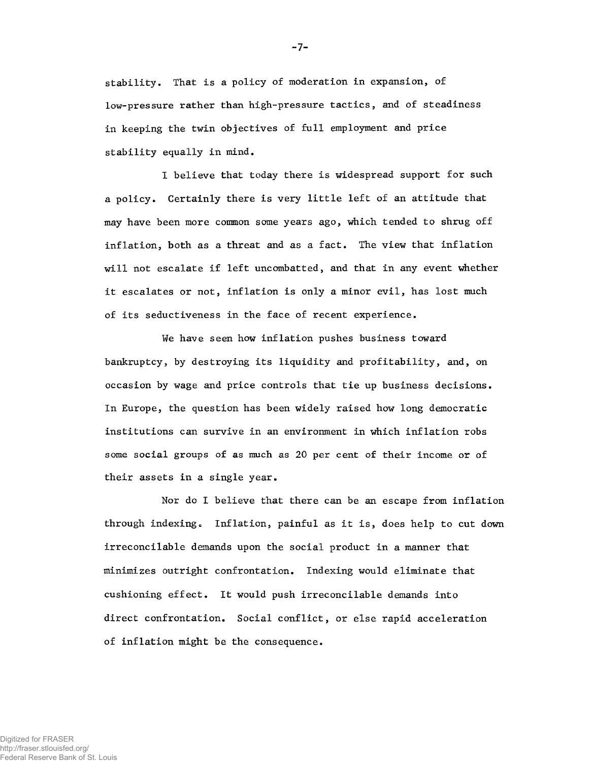stability. That is a policy of moderation in expansion, of low-pressure rather than high-pressure tactics, and of steadiness in keeping the twin objectives of full employment and price stability equally in mind.

I believe that today there is widespread support for such a policy. Certainly there is very little left of an attitude that may have been more common some years ago, which tended to shrug off inflation, both as a threat and as a fact. The view that inflation will not escalate if left uncombatted, and that in any event whether it escalates or not, inflation is only a minor evil, has lost much of its seductiveness in the face of recent experience.

We have seen how inflation pushes business toward bankruptcy, by destroying its liquidity and profitability, and, on occasion by wage and price controls that tie up business decisions. In Europe, the question has been widely raised how long democratic institutions can survive in an environment in which inflation robs some social groups of as much as 20 per cent of their income or of their assets in a single year.

Nor do I believe that there can be an escape from inflation through indexing. Inflation, painful as it is, does help to cut down irreconcilable demands upon the social product in a manner that minimizes outright confrontation. Indexing would eliminate that cushioning effect. It would push irreconcilable demands into direct confrontation. Social conflict, or else rapid acceleration of inflation might be the consequence.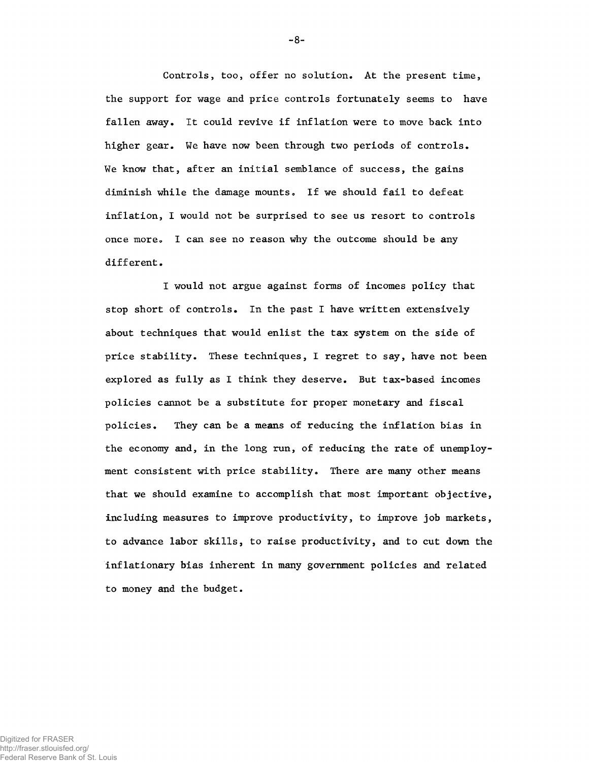Controls, too, offer no solution. At the present time, the support for wage and price controls fortunately seems to have fallen away. It could revive if inflation were to move back into higher gear. We have now been through two periods of controls. We know that, after an initial semblance of success, the gains diminish while the damage mounts. If we should fail to defeat inflation, I would not be surprised to see us resort to controls once more» I can see no reason why the outcome should be any different.

I would not argue against forms of incomes policy that stop short of controls. In the past I have written extensively about techniques that would enlist the tax system on the side of price stability. These techniques, I regret to say, have not been explored as fully as I think they deserve. But tax-based incomes policies cannot be a substitute for proper monetary and fiscal policies. They can be a means of reducing the inflation bias in the economy and, in the long run, of reducing the rate of unemployment consistent with price stability. There are many other means that we should examine to accomplish that most important objective, including measures to improve productivity, to improve job markets, to advance labor skills, to raise productivity, and to cut down the inflationary bias inherent in many government policies and related to money and the budget.

 $-8-$